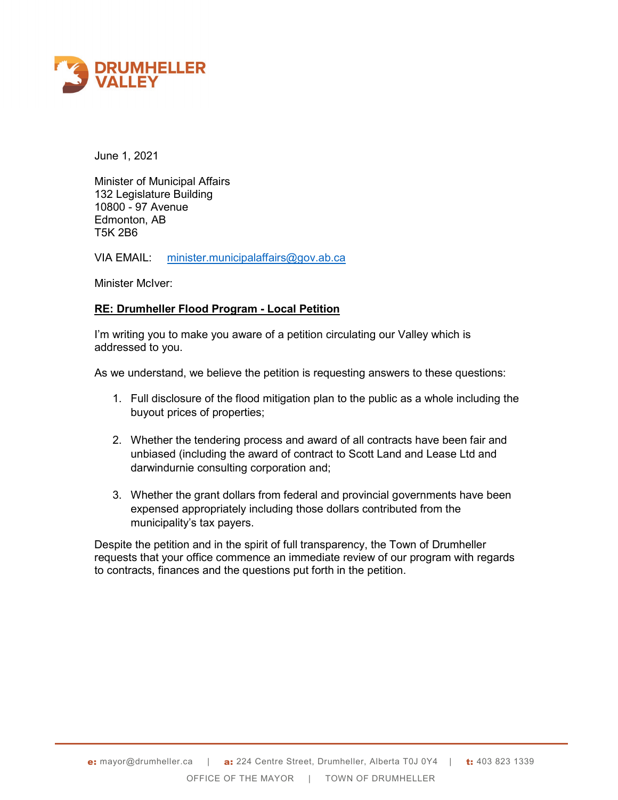

June 1, 2021

Minister of Municipal Affairs 132 Legislature Building 10800 - 97 Avenue Edmonton, AB T5K 2B6

VIA EMAIL: [minister.municipalaffairs@gov.ab.ca](mailto:minister.municipalaffairs@gov.ab.ca)

Minister McIver:

## **RE: Drumheller Flood Program - Local Petition**

I'm writing you to make you aware of a petition circulating our Valley which is addressed to you.

As we understand, we believe the petition is requesting answers to these questions:

- 1. Full disclosure of the flood mitigation plan to the public as a whole including the buyout prices of properties;
- 2. Whether the tendering process and award of all contracts have been fair and unbiased (including the award of contract to Scott Land and Lease Ltd and darwindurnie consulting corporation and;
- 3. Whether the grant dollars from federal and provincial governments have been expensed appropriately including those dollars contributed from the municipality's tax payers.

Despite the petition and in the spirit of full transparency, the Town of Drumheller requests that your office commence an immediate review of our program with regards to contracts, finances and the questions put forth in the petition.